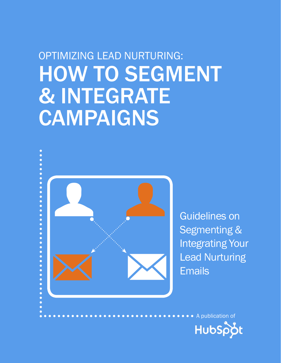## optimizing lead nurturing: **HOW TO SEGMENT** & integrate **CAMPAIGNS**



Guidelines on Segmenting & Integrating Your

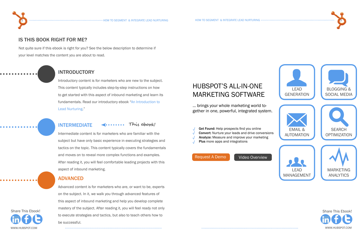Introductory content is for marketers who are new to the subject. This content typically includes step-by-step instructions on how to get started with this aspect of inbound marketing and learn its fundamentals. Read our introductory ebook ["An Introduction to](http://www.hubspot.com/free-ebook-an-introduction-to-lead-nurturing/)  [Lead Nurturing](http://www.hubspot.com/free-ebook-an-introduction-to-lead-nurturing/)."

#### INTRODUCTORY

#### IS THIS BOOK RIGHT FOR ME?

Not quite sure if this ebook is right for you? See the below description to determine if your level matches the content you are about to read.



Advanced content is for marketers who are, or want to be, experts on the subject. In it, we walk you through advanced features of this aspect of inbound marketing and help you develop complete mastery of the subject. After reading it, you will feel ready not only to execute strategies and tactics, but also to teach others how to be successful. [Shar](http://www.linkedin.com/shareArticle?mini=true&url=http://www.hubspot.com/optimizing-lead-nurturing)[e This](http://www.facebook.com/sharer/sharer.php?u=http://www.hubspot.com/optimizing-lead-nurturing) [Ebook!](http://twitter.com/intent/tweet?text=Download%20@HubSpot) Share This Ebook!

Intermediate content is for marketers who are familiar with the subject but have only basic experience in executing strategies and tactics on the topic. This content typically covers the fundamentals and moves on to reveal more complex functions and examples. After reading it, you will feel comfortable leading projects with this aspect of inbound marketing.

#### INTERMEDIATE **This ebook!**

#### ADVANCED



www.Hubspot.com www.Hubspot.com



... brings your whole marketing world together in one, powerful, integrated system.

### HubSpot's All-in-One Marketing Software

- Get Found: Help prospects find you online
- Convert: Nurture your leads and drive conversions
- Analyze: Measure and improve your marketing
- Plus more apps and integrations

[Video Overview](http://www.youtube.com/watch?v=evL5jaZx8vk)



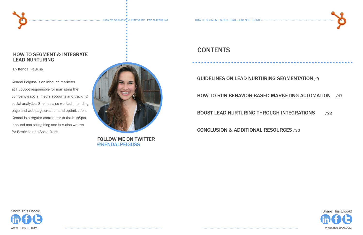



www.Hubspot.com www.Hubspot.com



#### how to segment & integrate lead nurturing

By Kendal Peiguss

FOLLOW ME ON TWITTER [@kendalpeiguss](http://twitter.com/kendalpeiguss)

### **CONTENTS**

Kendal Peiguss is an inbound marketer at HubSpot responsible for managing the company's social media accounts and tracking social analytics. She has also worked in landing page and web page creation and optimization. Kendal is a regular contributor to the HubSpot inbound marketing blog and has also written for BostInno and SocialFresh.



#### [guidelines on lead nurturing segmentation](#page-4-0) /9

#### [how to run behavior-based marketing automation /17](#page-8-0)

[boost lead nurturing through integrations](#page-11-0) /22

[conclusion & additional resources](#page-15-0) /30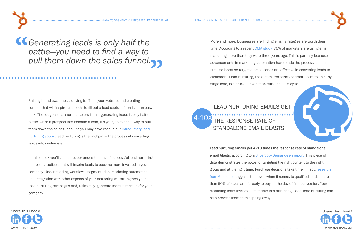

Raising brand awareness, driving traffic to your website, and creating content that will inspire prospects to fill out a lead capture form isn't an easy task. The toughest part for marketers is that generating leads is only half the battle! Once a prospect has become a lead, it's your job to find a way to pull them down the sales funnel. As you may have read in our [introductory lead](http://www.hubspot.com/free-ebook-an-introduction-to-lead-nurturing/)  [nurturing ebook](http://www.hubspot.com/free-ebook-an-introduction-to-lead-nurturing/), lead nurturing is the linchpin in the process of converting leads into customers.

In this ebook you'll gain a deeper understanding of successful lead nurturing and best practices that will inspire leads to become more invested in your company. Understanding workflows, segmentation, marketing automation, and integration with other aspects of your marketing will strengthen your lead nurturing campaigns and, ultimately, generate more customers for your company.

*Generating leads is only half the battle—you need to find a way to* **"** *pull them down the sales funnel.***"**



More and more, businesses are finding email strategies are worth their time. According to a recent [DMA study](https://imis.the-dma.org/bookstore/ProductSingle.cfm?p=0D44067A%7C5FE82E10DA2DB915CC38FD2A2C3FDF47), 75% of marketers are using email marketing more than they were three years ago. This is partially because advancements in marketing automation have made the process simpler, but also because targeted email sends are effective in converting leads to customers. Lead nurturing, the automated series of emails sent to an earlystage lead, is a crucial driver of an efficient sales cycle.

Lead nurturing emails get 4 -10 times the response rate of standalone email blasts, according to a [Silverpop/DemandGen report](http://blog.hubspot.com/blog/tabid/6307/bid/31406/How-to-Map-Lead-Nurturing-Content-to-Each-Stage-in-the-Sales-Cycle.aspx). This piece of data demonstrates the power of targeting the right content to the right group and at the right time. Purchase decisions take time. In fact, [research](http://blog.hubspot.com/blog/tabid/6307/bid/30901/30-Thought-Provoking-Lead-Nurturing-Stats-You-Can-t-Ignore.aspx)  [from Gleanster](http://blog.hubspot.com/blog/tabid/6307/bid/30901/30-Thought-Provoking-Lead-Nurturing-Stats-You-Can-t-Ignore.aspx) suggests that even when it comes to qualified leads, more than 50% of leads aren't ready to buy on the day of first conversion. Your marketing team invests a lot of time into attracting leads, lead nurturing can help prevent them from slipping away.

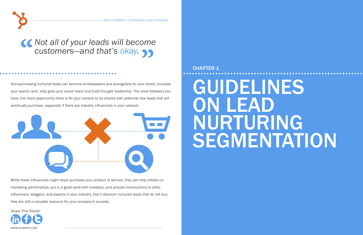<span id="page-4-0"></span>

Non-purchasing nurtured leads can become ambassadors and evangelists for your brand, increase your search rank, help grow your social reach and build thought leadership. The more followers you have, the more opportunity there is for your content to be shared with potential new leads that will eventually purchase, especially if there are industry influencers in your network.

# **66 Not all of your leads will become customers—and that's okay. SS** *customers—and that's okay.* **"**

While these influencers might never purchase your product or service, they can help initiate comarketing partnerships, put in a good word with investors, and provide introductions to other influencers, bloggers, and experts in your industry. Don't discount nurtured leads that do not buy; they are still a valuable resource for your company's success.

www.HUBSPOT.COM www.community.com/www.community.com/www.hubspot.com/www.hubspot.com/www.hubspot.com/ [Shar](http://www.linkedin.com/shareArticle?mini=true&url=http://www.hubspot.com/optimizing-lead-nurturing)[e This](http://www.facebook.com/sharer/sharer.php?u=http://www.hubspot.com/optimizing-lead-nurturing) [Ebook!](http://twitter.com/intent/tweet?text=Download%20@HubSpot) Share This Ebook!



### CHAPTER 1

# **GUIDELINES** ON LEAD NURTURING SEGMENTATION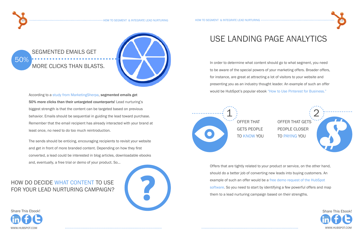

## use landing page analytics

In order to determine what content should go to what segment, you need to be aware of the special powers of your marketing offers. Broader offers, for instance, are great at attracting a lot of visitors to your website and presenting you as an industry thought leader. An example of such an offer would be HubSpot's popular ebook ["How to Use Pinterest for Business."](http://www.hubspot.com/how-to-use-pinterest-for-business/)

## segmented emails get **MORE CLICKS THAN BLASTS.**



Offers that are tightly related to your product or service, on the other hand, should do a better job of converting new leads into buying customers. An example of such an offer would be a [free demo request of the HubSpot](www.hubspot.com/products/demo-offers-team/?source=ebook-ctas)  [software](www.hubspot.com/products/demo-offers-team/?source=ebook-ctas). So you need to start by identifying a few powerful offers and map them to a lead nurturing campaign based on their strengths.



50%

According to a [study from MarketingSherpa,](http://blog.hubspot.com/blog/tabid/6307/bid/9876/9-Benefits-of-Lead-Nurturing.aspx) segmented emails get 50% more clicks than their untargeted counterparts! Lead nurturing's biggest strength is that the content can be targeted based on previous behavior. Emails should be sequential in guiding the lead toward purchase. Remember that the email recipient has already interacted with your brand at least once, no need to do too much reintroduction.

The sends should be enticing, encouraging recipients to revisit your website and get in front of more branded content. Depending on how they first converted, a lead could be interested in blog articles, downloadable ebooks and, eventually, a free trial or demo of your product. So...

## how do decide what content to use





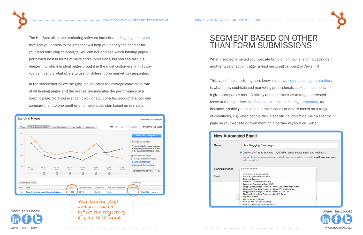## SEGMENT BASED ON OTHER than form submissions

What if someone visited your website but didn't fill out a landing page? Can another type of action trigger a lead nurturing campaign? Certainly!



This type of lead nurturing, also known as [advanced marketing automation,](http://www.hubspot.com/products/email-automation/?source=ebooks-ctas) is what many sophisticated marketing professionals seek to implement. It gives companies more flexibility and opportunities to target interested users at the right time. [HubSpot's advanced marketing automation](http://www.hubspot.com/products/email-automation/?source=ebooks-ctas), for instance, enable you to send a custom series of emails based on a range of conditions, e.g. when people click a specific call-to-action, visit a specific page on your website or even mention a certain keyword on Twitter.

| <b>New Automated Email</b>   |                                                                                                                                                                                                                                                                                                                                                                                                                                                               |  |  |  |  |  |
|------------------------------|---------------------------------------------------------------------------------------------------------------------------------------------------------------------------------------------------------------------------------------------------------------------------------------------------------------------------------------------------------------------------------------------------------------------------------------------------------------|--|--|--|--|--|
| Name:                        | LN - Blogging Camp                                                                                                                                                                                                                                                                                                                                                                                                                                            |  |  |  |  |  |
|                              | O Disable, don't send anyt<br>You can disable an automat<br>before enabling it.                                                                                                                                                                                                                                                                                                                                                                               |  |  |  |  |  |
| Starting condition:<br>Send: | / Choose an event<br>Added Item to Shopping Cart<br>Andy's Custom Event from SFI<br><b>Became a Customer</b><br>Became a Customer (from SFD<br>Became an Opportunity (from<br><b>Blogging Product Page Treatm</b><br><b>Blogging Product Page Treatm</b><br><b>Blogging Product Page Treatm</b><br><b>Blogging Product Page Treatm</b><br><b>Buy World Credits</b><br>Call-to-action in Ebooks<br>Click on Demo on Company B<br>Click on Product Overview Pag |  |  |  |  |  |



- 
- 
- 
- 
- 



The HubSpot all-in-one marketing software includes [landing page analytics](http://www.hubspot.com/products/lead-generation/?source=ebooks-ctas) that give you access to insights that will help you identify the content for your lead nurturing campaigns. You can not only see which landing pages performed best in terms of visits and submissions, but you can also dig deeper into which landing pages brought in the most customers. In that way you can identify what offers to use for different drip marketing campaigns.

In the screenshot below the gray line indicates the average conversion rate of all landing pages and the orange line indicates the performance of a specific page. So if you ever can't pick one out of a few good offers, you can compare them to one another and make a decision based on real data.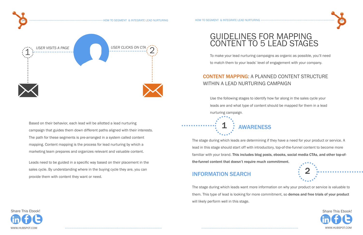



### guidelines for mapping content to 5 lead stages

To make your lead nurturing campaigns as organic as possible, you'll need to match them to your leads' level of engagement with your company.

### Content Mapping: a planned content structure within a lead nurturing campaign

Use the following stages to identify how far along in the sales cycle your leads are and what type of content should be mapped for them in a lead nurturing campaign.

## **AWARENESS**

The stage during which leads are determining if they have a need for your product or service. A lead in this stage should start off with introductory, top-of-the-funnel content to become more familiar with your brand. This includes blog posts, ebooks, social media CTAs, and other top-ofthe-funnel content that doesn't require much commitment.

### information search

The stage during which leads want more information on why your product or service is valuable to them. This type of lead is looking for more commitment, so demos and free trials of your product will likely perform well in this stage.





Based on their behavior, each lead will be allotted a lead nurturing campaign that guides them down different paths aligned with their interests. The path for these segments is pre-arranged in a system called content mapping. Content mapping is the process for lead nurturing by which a marketing team prepares and organizes relevant and valuable content.

Leads need to be guided in a specific way based on their placement in the sales cycle. By understanding where in the buying cycle they are, you can provide them with content they want or need.

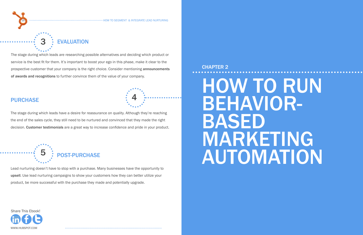<span id="page-8-0"></span>

16 how to see the second to segment & integrate lead nurturing how to see the second second integrate lead nurturing  $\sim$ 

www.Hubspot.com www.Hubspot.com [Shar](http://www.linkedin.com/shareArticle?mini=true&url=http://www.hubspot.com/optimizing-lead-nurturing)[e This](http://www.facebook.com/sharer/sharer.php?u=http://www.hubspot.com/optimizing-lead-nurturing) [Ebook!](http://twitter.com/intent/tweet?text=Download%20@HubSpot) Share This Ebook!

Lead nurturing doesn't have to stop with a purchase. Many businesses have the opportunity to upsell. Use lead nurturing campaigns to show your customers how they can better utilize your product, be more successful with the purchase they made and potentially upgrade.

# how to run behaviorbased MARKETING **AUTOMATION**

The stage during which leads are researching possible alternatives and deciding which product or service is the best fit for them. It's important to boost your ego in this phase, make it clear to the prospective customer that your company is the right choice. Consider mentioning announcements of awards and recognitions to further convince them of the value of your company.

#### **PURCHASE**



The stage during which leads have a desire for reassurance on quality. Although they're reaching the end of the sales cycle, they still need to be nurtured and convinced that they made the right decision. Customer testimonials are a great way to increase confidence and pride in your product.

4

## **EVALUATION**

### CHAPTER 2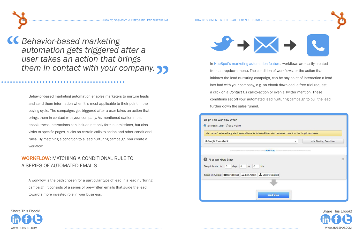







#### WORKFLOW: MATCHING A CONDITIONAL RULE TO a series of automated emails

Behavior-based marketing automation enables marketers to nurture leads and send them information when it is most applicable to their point in the buying cycle. The campaigns get triggered after a user takes an action that brings them in contact with your company. As mentioned earlier in this ebook, these interactions can include not only form submissions, but also visits to specific pages, clicks on certain calls-to-action and other conditional rules. By matching a condition to a lead nurturing campaign, you create a workflow.

**EC** Behavior-based marketing<br>automation gets triggered<br>user takes an action that b *automation gets triggered after a user takes an action that brings them in contact with your company.* **"**

> A workflow is the path chosen for a particular type of lead in a lead nurturing campaign. It consists of a series of pre-written emails that guide the lead toward a more invested role in your business.

In [HubSpot's marketing automation feature](http://www.hubspot.com/products/email-automation/?source=ebooks-ctas), workflows are easily created from a dropdown menu. The condition of workflows, or the action that initiates the lead nurturing campaign, can be any point of interaction a lead has had with your company, e.g. an ebook download, a free trial request, a click on a *Contact Us* call-to-action or even a Twitter mention. These conditions set off your automated lead nurturing campaign to pull the lead further down the sales funnel.

| Begin This Workflow When<br>$\bigcirc$ for the first time $\bigcirc$ at any time                           |   |                               |
|------------------------------------------------------------------------------------------------------------|---|-------------------------------|
| You haven't selected any starting conditions for this workflow. You can select one from the dropdown below |   |                               |
| 8 Google Tools ebook                                                                                       | v | <b>Add Starting Condition</b> |
| <b>Add Step</b>                                                                                            |   |                               |
| First Workflow Step                                                                                        |   | 26                            |
| Delay this step for<br>$\overline{0}$<br>$hrs$ 0<br>$\theta$<br>min<br>days                                |   |                               |
| Select an Action: 82 Send Email Mu List Action & Modify Contact                                            |   |                               |
|                                                                                                            |   |                               |
| <b>Add Step</b>                                                                                            |   |                               |
|                                                                                                            |   |                               |

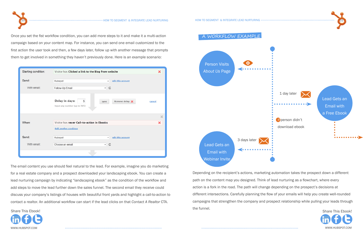www.Hubspot.com www.Hubspot.com

Once you set the fist workflow condition, you can add more steps to it and make it a multi-action campaign based on your content map. For instance, you can send one email customized to the first action the user took and then, a few days later, follow up with another message that prompts them to get involved in something they haven't previously done. Here is an example scenario:

| Starting condition: | Visitor has Clicked a link to the Blog from website |                        | ×                     |
|---------------------|-----------------------------------------------------|------------------------|-----------------------|
| Send:               | Hubspot                                             | edit this account<br>۰ |                       |
| With email:         | Follow-Up Email                                     | $ C$                   |                       |
|                     | Delay in days:<br>5<br>Input any number (up to 365) | Remove delay<br>Save   | cancel                |
|                     |                                                     |                        | $\boldsymbol{\times}$ |
| When:               | Visitor has never Call-to-action in Ebooks          |                        | ×                     |
|                     | <b>Add another condition</b>                        |                        |                       |
| Send:               | Hubspot                                             | edit this account<br>٠ |                       |
| With email:         | Choose an email                                     | $ C$                   |                       |
|                     |                                                     |                        |                       |

[Shar](http://www.linkedin.com/shareArticle?mini=true&url=http://www.hubspot.com/optimizing-lead-nurturing)[e This](http://www.facebook.com/sharer/sharer.php?u=http://www.hubspot.com/optimizing-lead-nurturing) [Ebook!](http://twitter.com/intent/tweet?text=Download%20@HubSpot) Share This Ebook! Depending on the recipient's actions, marketing automation takes the prospect down a different path on the content map you designed. Think of lead nurturing as a flowchart, where every action is a fork in the road. The path will change depending on the prospect's decisions at different intersections. Carefully planning the flow of your emails will help you create well-rounded campaigns that strengthen the company and prospect relationship while pulling your leads through the funnel.

The email content you use should feel natural to the lead. For example, imagine you do marketing for a real estate company and a prospect downloaded your landscaping ebook. You can create a lead nurturing campaign by indicating "landscaping ebook" as the condition of the workflow and add steps to move the lead further down the sales funnel. The second email they receive could discuss your company's listings of houses with beautiful front yards and highlight a call-to-action to contact a realtor. An additional workflow can start if the lead clicks on that *Contact A Realtor* CTA.

## Person Visits *About Us* Page Lead Gets an Email with 3 days later e





Webinar Invite

a workflow example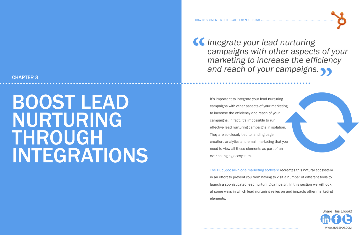*Integrate your lead nurturing*<br>
campaigns with other aspects<br>
marketing to increase the effi



#### <span id="page-11-0"></span>CHAPTER 3

## BOOST LEAD NURTURING THROUGH **INTEGRATIONS**



It's important to integrate your lead campaigns with other aspects of your to increase the efficiency and reach campaigns. In fact, it's impossible effective lead nurturing campaigns They are so closely tied to landing page creation, analytics and email market need to view all these elements as ever-changing ecosystem.

[The HubSpot all-in-one marketing software](http://www.hubspot.com/products/?source=ebooks-ctas) recreates this natural ecosystem in an effort to prevent you from having to visit a number of different tools to launch a sophisticated lead nurturing campaign. In this section we will look

at some ways in which lead nurturing relies on and impacts other marketing elements.

# *campaigns with other aspects of your marketing to increase the efficiency and reach of your campaigns.* **"**

| I nurturing<br>our marketing<br>า of your<br>to run<br>in isolation. |  |  |
|----------------------------------------------------------------------|--|--|
| oage<br>eting that you<br>part of an                                 |  |  |
|                                                                      |  |  |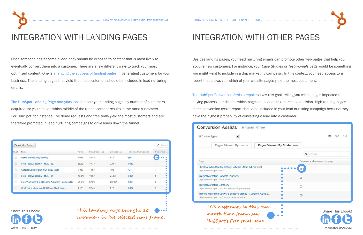

## Integration with Landing Pages

Once someone has become a lead, they should be exposed to content that is most likely to eventually convert them into a customer. There are a few different ways to track your most optimized content. One is [analyzing the success of landing pages](http://www.hubspot.com/products/landing-pages/?source=ebooks-ctas) in generating customers for your business. The landing pages that yield the most customers should be included in lead nurturing emails.

[The HubSpot Landing Page Analytics](http://www.hubspot.com/products/landing-pages/?source=ebooks-ctas) tool can sort your landing pages by number of customers acquired, so you can see which middle-of-the-funnel content results in the most customers. For HubSpot, for instance, live demo requests and free trials yield the most customers and are therefore promoted in lead nurturing campaigns to drive leads down the funnel.

| <b>Export All to Excel</b><br>Q Search |                                                    |              |                 |             |                               |             |  |  |  |  |
|----------------------------------------|----------------------------------------------------|--------------|-----------------|-------------|-------------------------------|-------------|--|--|--|--|
| Chart                                  | <b>Name</b>                                        | <b>Views</b> | Conversion Rate | Submissions | <b>First Time Submissions</b> | Customers A |  |  |  |  |
| $\circledcirc$                         | Demo of HubSpot (Product)                          | 4,936        | 10.4%           | 511         | 256                           | 10          |  |  |  |  |
| $\circledcirc$                         | Free Trial (Variation 4 - MQL Test)                | 25,831       | 10.7%           | 2.754       | 1,633                         |             |  |  |  |  |
| $\circledcirc$                         | Contact Sales (Variation 2 - MQL Test)             | 1,363        | 14.5%           | 198         | 79                            |             |  |  |  |  |
| $\circledcirc$                         | Free Trial (Variation 2 - MQL Test)                | 27,840       | 10.6%           | 2,953       | 1,805                         | 6           |  |  |  |  |
| $\circledcirc$                         | Free Workshop: Four Steps to Achieving Business Su | 54.162       | 37.2%           | 20.167      | 6,660                         | 3           |  |  |  |  |
| $\circledcirc$                         | SEO Guide - Learning SEO From The Experts          | 8,126        | 32.4%           | 2,631       | 1,062                         | 3           |  |  |  |  |

| therefore promoted in lead nurturing campaigns to drive leads down the funnel. |              |                 |             |                                                                       |                          |                                                                                | <b>Conversion Assists</b><br>@ Tutorial 9 Tour                                                               |                                  |                                |
|--------------------------------------------------------------------------------|--------------|-----------------|-------------|-----------------------------------------------------------------------|--------------------------|--------------------------------------------------------------------------------|--------------------------------------------------------------------------------------------------------------|----------------------------------|--------------------------------|
| <b>Export All to Excel</b>                                                     |              |                 |             |                                                                       | Q Search                 | All Content Types                                                              | $\blacksquare$<br>Pages Viewed By Leads                                                                      | <b>Pages Viewed By Customers</b> | 1M<br>3M 6M                    |
| Chart Name                                                                     | <b>Views</b> | Conversion Rate | Submissions | <b>First Time Submissions</b>                                         | Customers A              |                                                                                |                                                                                                              |                                  | Q Search                       |
| Demo of HubSpot (Product)                                                      | 4.936        | 10.4%           | 511         | 256                                                                   | $10$ $\bullet$ $\bullet$ |                                                                                |                                                                                                              |                                  |                                |
| Free Trial (Variation 4 - MQL Test)                                            | 25,831       | 10.7%           | 2,754       | 1,633                                                                 |                          | Page                                                                           |                                                                                                              |                                  | Customers who viewed this page |
| Contact Sales (Variation 2 - MQL Test)                                         | 1,363        | 14.5%           | 198         | 79                                                                    |                          | http://www.hubspot.com/                                                        | HubSpot All-in-One Marketing Software - Start A Free Trial                                                   |                                  |                                |
| Free Trial (Variation 2 - MQL Test)                                            | 27,840       | 10.6%           | 2,953       | 1,805                                                                 |                          | <b>Internet Marketing Software Products</b><br>http://www.hubspot.com/products |                                                                                                              |                                  | 98                             |
| Free Workshop: Four Steps to Achieving Business Su                             | 54,162       | 37.2%           | 20,167      | 6,660                                                                 |                          |                                                                                | <b>Internet Marketing Company</b>                                                                            |                                  |                                |
| SEO Guide - Learning SEO From The Experts                                      | 8,126        | 32.4%           | 2,631       | 1,062                                                                 |                          |                                                                                | http://www.hubspot.com/internet-marketing-company                                                            |                                  | 63                             |
|                                                                                |              |                 |             |                                                                       |                          |                                                                                | Inbound Marketing Software Success Stories   Customer Case S<br>http://www.hubspot.com/customer-case-studies |                                  | 60                             |
| <b>Share This Ebook!</b><br>in $\theta$ B                                      |              |                 |             | This landing page brought 10<br>customers in the selected time frame. |                          |                                                                                | 163 customers in this one-<br>month time frame saw<br>HubSpot's Free trial page.                             |                                  | Share This Ebook!              |
| WWW.HUBSPOT.COM                                                                |              |                 |             |                                                                       |                          |                                                                                |                                                                                                              |                                  | WWW.HUBSPOT.COM                |



## Integration with other pages

Besides landing pages, your lead nurturing emails can promote other web pages that help you acquire new customers. For instance, your *Case Studies* or *Testimonials* page would be something you might want to include in a drip marketing campaign. In this context, you need access to a report that shows you which of your website pages yield the most customers.

[The HubSpot Conversion Assists report](http://www.hubspot.com/products/conversion-assists/?source=ebooks-ctas) serves this goal, telling you which pages impacted the buying process. It indicates which pages help leads to a purchase decision. High-ranking pages in the conversion assist report should be included in your lead nurturing campaign because they have the highest probability of converting a lead into a customer.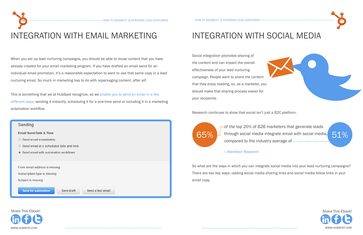www.Hubspot.com www.Hubspot.com





## integration with social media

Social integration promotes sharing of the content and can impact the overall effectiveness of your lead nurturing campaign. People want to share the content that they enjoy reading, so, as a marketer, you should make that sharing process easier for your recipients.

Research continues to show that social isn't just a B2C platform.





-- [Aberdeen Research](http://www.aberdeen.com/Aberdeen-Library/7635/RA-social-media-marketing.aspx)

This is something that we at HubSpot recognize, so we enable you to send an email in a few [different ways:](http://www.hubspot.com/products/email-marketing/?source=ebooks-ctas) sending it instantly, scheduling it for a one-time send or including it in a marketing automation workflow.



So what are the ways in which you can integrate social media into your lead nurturing campaigns? There are two key ways—adding social media sharing links and social media follow links in your email copy.

m

b



## integration with email marketing

When you set up lead nurturing campaigns, you should be able to reuse content that you have already created for your email marketing program. If you have drafted an email send for an individual email promotion, it's a reasonable expectation to want to use that same copy in a lead nurturing email. So much in marketing has to do with repackaging content, after all!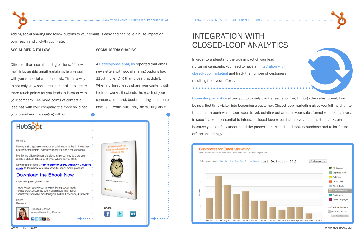



Adding social sharing and follow buttons to your emails is easy and can have a huge impact on your reach and click-through-rate.

### integration with closed-loop analytics

In order to understand the true impact of your lead nurturing campaign, you need to have a[n integration with](http://www.hubspot.com/products/analytics/?source=ebooks-ctas)  [closed-loop marketing](http://www.hubspot.com/products/analytics/?source=ebooks-ctas) and track the number of customers resulting from your efforts.

[Closed-loop analytics](http://www.hubspot.com/an-introduction-to-closed-loop-marketing) allows you to closely track a lead's journey through the sales funnel, from being a first-time visitor into becoming a customer. Closed-loop marketing gives you full insight into the paths through which your leads travel, pointing out areas in your sales funnel you should invest in specifically. It's essential to integrate closed-loop reporting into your lead nurturing system because you can fully understand the process a nurtured lead took to purchase and tailor future efforts accordingly.

#### Social media sharing

A [GetResponse analysis](http://blog.getresponse.com/social-sharing-boosts-email-ctr-up-to-115.html) reported that email newsletters with social sharing buttons had 115% higher CTR than those that didn't. When nurtured leads share your content with their networks, it extends the reach of your content and brand. Social sharing can create new leads while nurturing the existing ones.



#### Hi there, Having a strong presence across social media is the #1 investment priority for marketers. Not surprisingly, it's also a top challenge. Monitoring different channels alone is a great way to grow your reach. But it can take a lot of time. Where do you start? Download our ebook, How to Monitor Social Media in 10 Minutes a Day, to learn how to build a powerful social media presence. Download the Ebook Now From this guide, you will learn: \* How to best spend your time monitoring social media \* What tools consolidate your social media information \* What you should be monitoring on Twitter, Facebook, & LinkedIn Enjoy, Rebecca



#### Social media follow

Different than social sharing buttons, "follow me" links enable email recipients to connect with you via social with one click. This is a way to not only grow social reach, but also to create more touch points for you leads to interact with your company. The more points of contact a lead has with your company, the more solidified your brand and messaging will be.

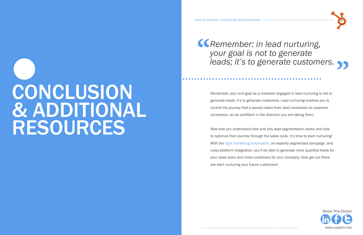# <span id="page-15-0"></span>conclusion **& ADDITIONAL RESOURCES**





Remember, your end goal as a marketer engaged in lead nurturing is not to generate leads; it's to generate customers. Lead nurturing enables you to control the journey that a person takes from lead conversion to customer conversion, so be confident in the direction you are taking them.

**Kalle Convertion Convertions**<br> *Your goal is not to generate*<br> *leads; it's to generate custome your goal is not to generate* 

Now that you understand how and why lead segmentation works and how to optimize their journey through the sales cycle, it's time to start nurturing! With the [right marketing automation](http://www.hubspot.com/products/email-automation/?source=ebooks-ctas), an expertly segmented campaign, and cross-platform integration, you'll be able to generate more qualified leads for your sales team and more customers for your company. Now get out there are start nurturing your future customers!

# *leads; it's to generate customers.***"**